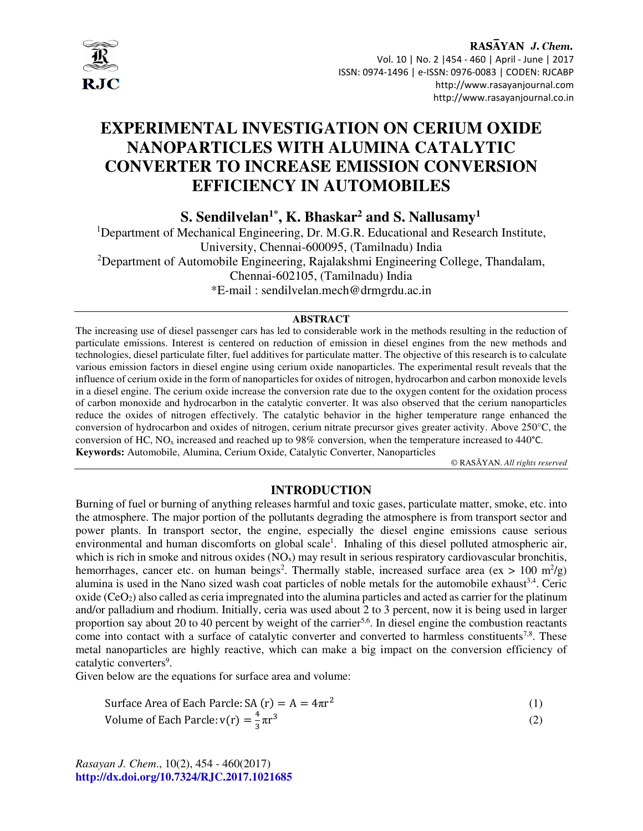

# **EXPERIMENTAL INVESTIGATION ON CERIUM OXIDE NANOPARTICLES WITH ALUMINA CATALYTIC CONVERTER TO INCREASE EMISSION CONVERSION EFFICIENCY IN AUTOMOBILES**

**S. Sendilvelan1\*, K. Bhaskar<sup>2</sup> and S. Nallusamy<sup>1</sup>** 

<sup>1</sup>Department of Mechanical Engineering, Dr. M.G.R. Educational and Research Institute, University, Chennai-600095, (Tamilnadu) India <sup>2</sup>Department of Automobile Engineering, Rajalakshmi Engineering College, Thandalam, Chennai-602105, (Tamilnadu) India

\*E-mail : sendilvelan.mech@drmgrdu.ac.in

#### **ABSTRACT**

The increasing use of diesel passenger cars has led to considerable work in the methods resulting in the reduction of particulate emissions. Interest is centered on reduction of emission in diesel engines from the new methods and technologies, diesel particulate filter, fuel additives for particulate matter. The objective of this research is to calculate various emission factors in diesel engine using cerium oxide nanoparticles. The experimental result reveals that the influence of cerium oxide in the form of nanoparticles for oxides of nitrogen, hydrocarbon and carbon monoxide levels in a diesel engine. The cerium oxide increase the conversion rate due to the oxygen content for the oxidation process of carbon monoxide and hydrocarbon in the catalytic converter. It was also observed that the cerium nanoparticles reduce the oxides of nitrogen effectively. The catalytic behavior in the higher temperature range enhanced the conversion of hydrocarbon and oxides of nitrogen, cerium nitrate precursor gives greater activity. Above 250°C, the conversion of HC, NOx increased and reached up to 98% conversion, when the temperature increased to 440°C. **Keywords:** Automobile, Alumina, Cerium Oxide, Catalytic Converter, Nanoparticles

© RASĀYAN. *All rights reserved*

# **INTRODUCTION**

Burning of fuel or burning of anything releases harmful and toxic gases, particulate matter, smoke, etc. into the atmosphere. The major portion of the pollutants degrading the atmosphere is from transport sector and power plants. In transport sector, the engine, especially the diesel engine emissions cause serious environmental and human discomforts on global scale<sup>1</sup>. Inhaling of this diesel polluted atmospheric air, which is rich in smoke and nitrous oxides  $(NO_x)$  may result in serious respiratory cardiovascular bronchitis, hemorrhages, cancer etc. on human beings<sup>2</sup>. Thermally stable, increased surface area (ex  $> 100 \text{ m}^2/\text{g}$ ) alumina is used in the Nano sized wash coat particles of noble metals for the automobile exhaust<sup>3,4</sup>. Ceric oxide ( $CeO<sub>2</sub>$ ) also called as ceria impregnated into the alumina particles and acted as carrier for the platinum and/or palladium and rhodium. Initially, ceria was used about 2 to 3 percent, now it is being used in larger proportion say about 20 to 40 percent by weight of the carrier<sup>5,6</sup>. In diesel engine the combustion reactants come into contact with a surface of catalytic converter and converted to harmless constituents<sup>7,8</sup>. These metal nanoparticles are highly reactive, which can make a big impact on the conversion efficiency of catalytic converters<sup>9</sup>.

Given below are the equations for surface area and volume:

Surface Area of Each Parcle: SA (r) = 
$$
A = 4\pi r^2
$$
 (1)

Volume of Each Parcle: 
$$
v(r) = \frac{4}{3}\pi r^3
$$
 (2)

*Rasayan J. Chem*., 10(2), 454 - 460(2017) **http://dx.doi.org/10.7324/RJC.2017.1021685**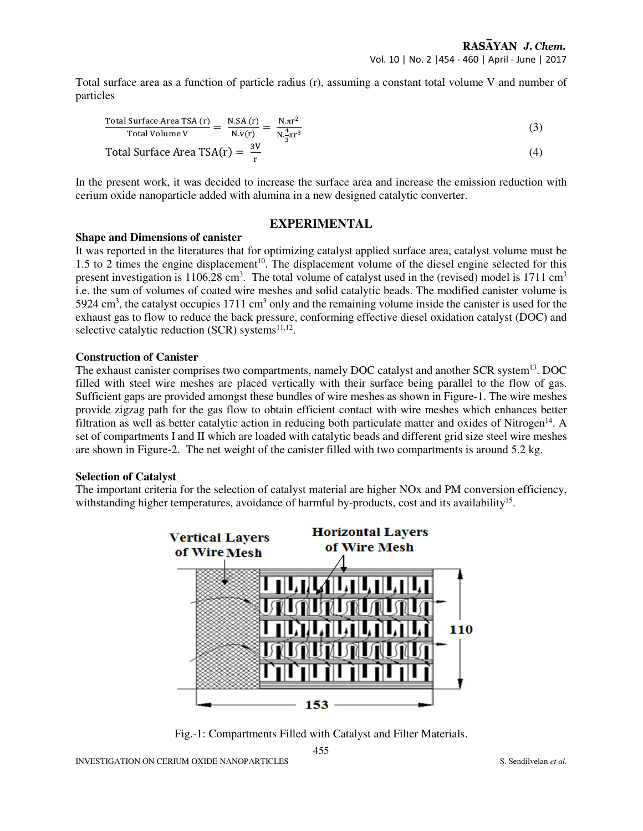Total surface area as a function of particle radius (r), assuming a constant total volume V and number of particles

Total Surface Area TSA (r) = 
$$
\frac{N.SA(r)}{N.v(r)} = \frac{N.\pi r^2}{N.\frac{4}{3}\pi r^3}
$$
 (3)

Total Surface Area 
$$
TSA(r) = \frac{3V}{r}
$$
 (4)

In the present work, it was decided to increase the surface area and increase the emission reduction with cerium oxide nanoparticle added with alumina in a new designed catalytic converter.

# **EXPERIMENTAL**

#### **Shape and Dimensions of canister**

It was reported in the literatures that for optimizing catalyst applied surface area, catalyst volume must be 1.5 to 2 times the engine displacement<sup>10</sup>. The displacement volume of the diesel engine selected for this present investigation is 1106.28 cm<sup>3</sup>. The total volume of catalyst used in the (revised) model is 1711 cm<sup>3</sup> i.e. the sum of volumes of coated wire meshes and solid catalytic beads. The modified canister volume is 5924 cm<sup>3</sup>, the catalyst occupies 1711 cm<sup>3</sup> only and the remaining volume inside the canister is used for the exhaust gas to flow to reduce the back pressure, conforming effective diesel oxidation catalyst (DOC) and selective catalytic reduction (SCR) systems $^{11,12}$ .

### **Construction of Canister**

The exhaust canister comprises two compartments, namely DOC catalyst and another SCR system<sup>13</sup>. DOC filled with steel wire meshes are placed vertically with their surface being parallel to the flow of gas. Sufficient gaps are provided amongst these bundles of wire meshes as shown in Figure-1. The wire meshes provide zigzag path for the gas flow to obtain efficient contact with wire meshes which enhances better filtration as well as better catalytic action in reducing both particulate matter and oxides of Nitrogen<sup>14</sup>. A set of compartments I and II which are loaded with catalytic beads and different grid size steel wire meshes are shown in Figure-2. The net weight of the canister filled with two compartments is around 5.2 kg.

### **Selection of Catalyst**

The important criteria for the selection of catalyst material are higher NOx and PM conversion efficiency, withstanding higher temperatures, avoidance of harmful by-products, cost and its availability<sup>15</sup>.



Fig.-1: Compartments Filled with Catalyst and Filter Materials.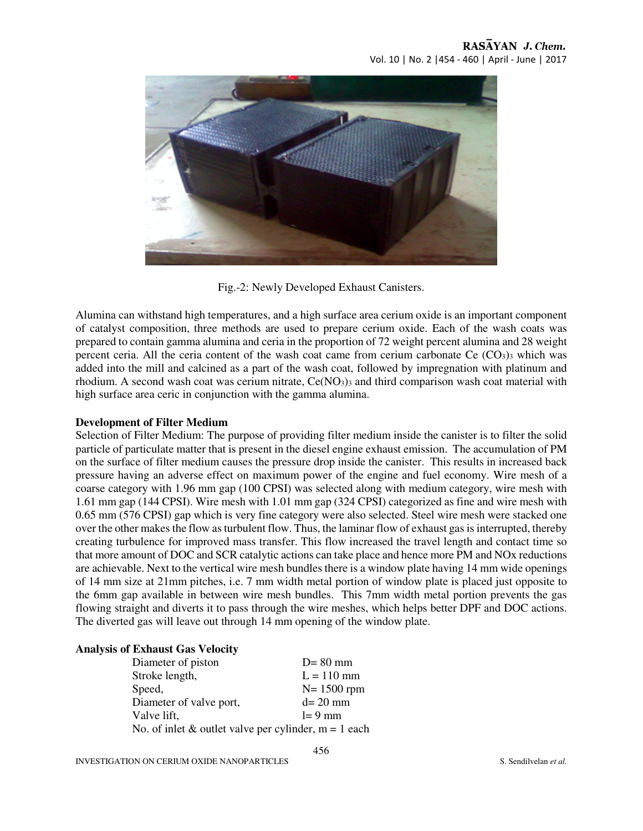

Fig.-2: Newly Developed Exhaust Canisters.

Alumina can withstand high temperatures, and a high surface area cerium oxide is an important component of catalyst composition, three methods are used to prepare cerium oxide. Each of the wash coats was prepared to contain gamma alumina and ceria in the proportion of 72 weight percent alumina and 28 weight percent ceria. All the ceria content of the wash coat came from cerium carbonate Ce  $(CO<sub>3</sub>)<sub>3</sub>$  which was added into the mill and calcined as a part of the wash coat, followed by impregnation with platinum and rhodium. A second wash coat was cerium nitrate,  $Ce(NO<sub>3</sub>)<sub>3</sub>$  and third comparison wash coat material with high surface area ceric in conjunction with the gamma alumina.

# **Development of Filter Medium**

Selection of Filter Medium: The purpose of providing filter medium inside the canister is to filter the solid particle of particulate matter that is present in the diesel engine exhaust emission. The accumulation of PM on the surface of filter medium causes the pressure drop inside the canister. This results in increased back pressure having an adverse effect on maximum power of the engine and fuel economy. Wire mesh of a coarse category with 1.96 mm gap (100 CPSI) was selected along with medium category, wire mesh with 1.61 mm gap (144 CPSI). Wire mesh with 1.01 mm gap (324 CPSI) categorized as fine and wire mesh with 0.65 mm (576 CPSI) gap which is very fine category were also selected. Steel wire mesh were stacked one over the other makes the flow as turbulent flow. Thus, the laminar flow of exhaust gas is interrupted, thereby creating turbulence for improved mass transfer. This flow increased the travel length and contact time so that more amount of DOC and SCR catalytic actions can take place and hence more PM and NOx reductions are achievable. Next to the vertical wire mesh bundles there is a window plate having 14 mm wide openings of 14 mm size at 21mm pitches, i.e. 7 mm width metal portion of window plate is placed just opposite to the 6mm gap available in between wire mesh bundles. This 7mm width metal portion prevents the gas flowing straight and diverts it to pass through the wire meshes, which helps better DPF and DOC actions. The diverted gas will leave out through 14 mm opening of the window plate.

### **Analysis of Exhaust Gas Velocity**

| Diameter of piston                                       | $D = 80$ mm    |
|----------------------------------------------------------|----------------|
| Stroke length,                                           | $L = 110$ mm   |
| Speed,                                                   | $N = 1500$ rpm |
| Diameter of valve port,                                  | $d=20$ mm      |
| Valve lift,                                              | $l = 9$ mm     |
| No. of inlet $&$ outlet valve per cylinder, $m = 1$ each |                |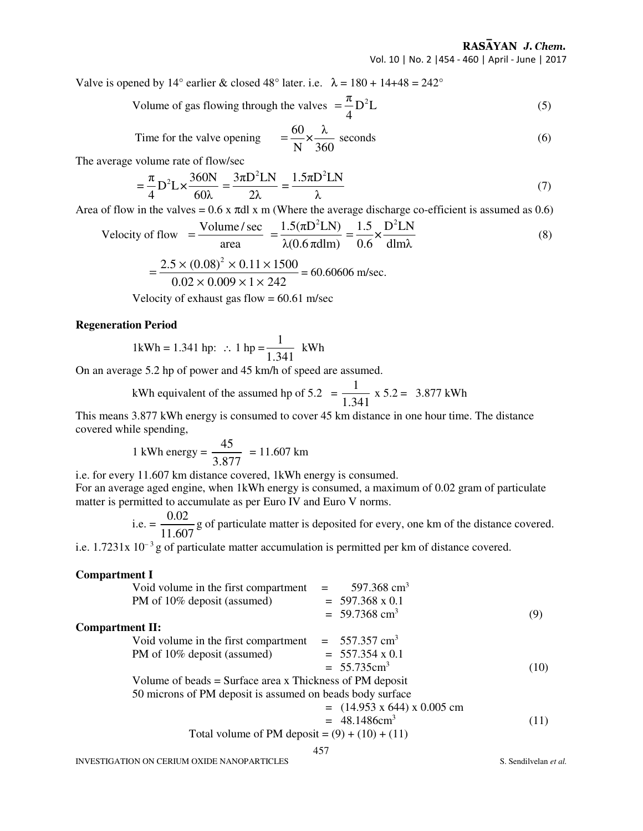RASAYAN J. Chem. Vol. 10 | No. 2 |454 - 460 | April - June | 2017

Valve is opened by 14° earlier & closed 48° later. i.e.  $\lambda = 180 + 14 + 48 = 242$ °

Volume of gas flowing through the values 
$$
=\frac{\pi}{4}D^2L
$$
 (5)

Time for the valve opening 
$$
=\frac{60}{N} \times \frac{\lambda}{360}
$$
 seconds (6)

The average volume rate of flow/sec

$$
= \frac{\pi}{4} \mathcal{D}^2 \mathcal{L} \times \frac{360 \mathcal{N}}{60 \lambda} = \frac{3 \pi \mathcal{D}^2 \mathcal{L} \mathcal{N}}{2 \lambda} = \frac{1.5 \pi \mathcal{D}^2 \mathcal{L} \mathcal{N}}{\lambda}
$$
(7)

Area of flow in the valves =  $0.6$  x  $\pi$ dl x m (Where the average discharge co-efficient is assumed as 0.6)

Velocity of flow 
$$
=\frac{\text{Volume/sec}}{\text{area}} = \frac{1.5(\pi D^2 L N)}{\lambda (0.6 \pi d \text{lm})} = \frac{1.5}{0.6} \times \frac{D^2 L N}{d \text{lm}\lambda}
$$
 (8)

$$
= \frac{2.5 \times (0.08)^2 \times 0.11 \times 1500}{0.02 \times 0.009 \times 1 \times 242} = 60.60606
$$
 m/sec.

Velocity of exhaust gas flow  $= 60.61$  m/sec

## **Regeneration Period**

1kWh = 1.341 hp: 
$$
\therefore
$$
 1 hp =  $\frac{1}{1.341}$  kWh

On an average 5.2 hp of power and 45 km/h of speed are assumed.

kWh equivalent of the assumed hp of 5.2 = 
$$
\frac{1}{1.341}
$$
 x 5.2 = 3.877 kWh

This means 3.877 kWh energy is consumed to cover 45 km distance in one hour time. The distance covered while spending,

1 kWh energy = 
$$
\frac{45}{3.877}
$$
 = 11.607 km

i.e. for every 11.607 km distance covered, 1kWh energy is consumed.

For an average aged engine, when 1kWh energy is consumed, a maximum of 0.02 gram of particulate matter is permitted to accumulate as per Euro IV and Euro V norms.

i.e. = 
$$
\frac{0.02}{11.607}
$$
 g of particulate matter is deposited for every, one km of the distance covered.

i.e.  $1.7231x 10^{-3}$  g of particulate matter accumulation is permitted per km of distance covered.

#### **Compartment I**

|                        | Void volume in the first compartment                       |  | 597.368 $cm3$               |      |
|------------------------|------------------------------------------------------------|--|-----------------------------|------|
|                        | PM of 10% deposit (assumed)                                |  | $= 597.368 \times 0.1$      |      |
|                        |                                                            |  | $= 59.7368$ cm <sup>3</sup> | (9)  |
| <b>Compartment II:</b> |                                                            |  |                             |      |
|                        | Void volume in the first compartment                       |  | $= 557.357$ cm <sup>3</sup> |      |
|                        | PM of 10% deposit (assumed)                                |  | $= 557.354 \times 0.1$      |      |
|                        |                                                            |  | $= 55.735 \text{cm}^3$      | (10) |
|                        | Volume of beads $=$ Surface area x Thickness of PM deposit |  |                             |      |
|                        | 50 microns of PM deposit is assumed on beads body surface  |  |                             |      |

$$
= (14.953 \times 644) \times 0.005 \text{ cm}
$$
  
= 48.1486cm<sup>3</sup> (11)

Total volume of PM deposit =  $(9) + (10) + (11)$ 

457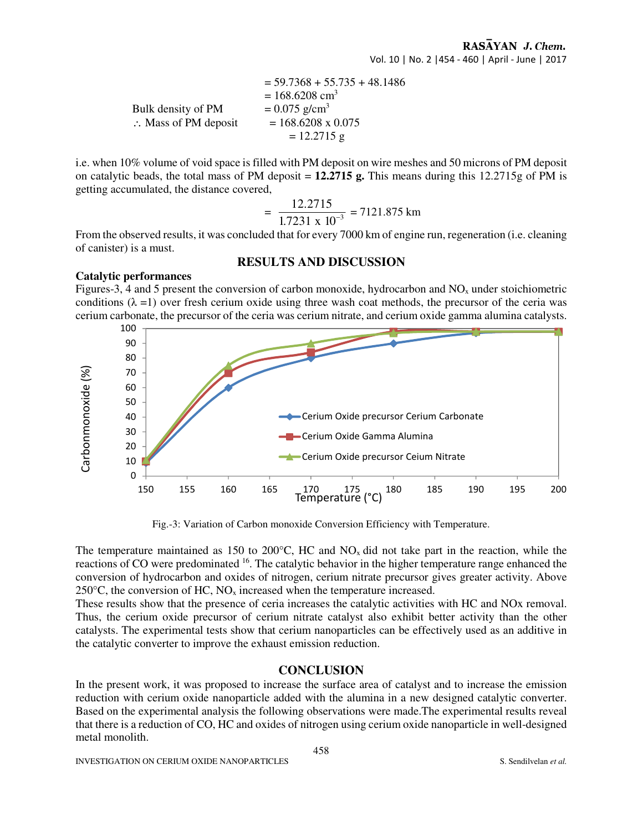$= 59.7368 + 55.735 + 48.1486$  $= 168.6208$  cm<sup>3</sup> Bulk density of PM  $= 0.075$  g/cm<sup>3</sup>  $\therefore$  Mass of PM deposit = 168.6208 x 0.075  $= 12.2715$  g

i.e. when 10% volume of void space is filled with PM deposit on wire meshes and 50 microns of PM deposit on catalytic beads, the total mass of PM deposit = **12.2715 g.** This means during this 12.2715g of PM is getting accumulated, the distance covered,

$$
= \frac{12.2715}{1.7231 \times 10^{-3}} = 7121.875 \text{ km}
$$

From the observed results, it was concluded that for every 7000 km of engine run, regeneration (i.e. cleaning of canister) is a must.

### **RESULTS AND DISCUSSION**

#### **Catalytic performances**

Figures-3, 4 and 5 present the conversion of carbon monoxide, hydrocarbon and  $NO<sub>x</sub>$  under stoichiometric conditions  $(\lambda =1)$  over fresh cerium oxide using three wash coat methods, the precursor of the ceria was cerium carbonate, the precursor of the ceria was cerium nitrate, and cerium oxide gamma alumina catalysts.



Fig.-3: Variation of Carbon monoxide Conversion Efficiency with Temperature.

The temperature maintained as 150 to 200 $^{\circ}$ C, HC and NO<sub>x</sub> did not take part in the reaction, while the reactions of CO were predominated <sup>16</sup>. The catalytic behavior in the higher temperature range enhanced the conversion of hydrocarbon and oxides of nitrogen, cerium nitrate precursor gives greater activity. Above 250 $\degree$ C, the conversion of HC, NO<sub>x</sub> increased when the temperature increased.

These results show that the presence of ceria increases the catalytic activities with HC and NOx removal. Thus, the cerium oxide precursor of cerium nitrate catalyst also exhibit better activity than the other catalysts. The experimental tests show that cerium nanoparticles can be effectively used as an additive in the catalytic converter to improve the exhaust emission reduction.

# **CONCLUSION**

In the present work, it was proposed to increase the surface area of catalyst and to increase the emission reduction with cerium oxide nanoparticle added with the alumina in a new designed catalytic converter. Based on the experimental analysis the following observations were made.The experimental results reveal that there is a reduction of CO, HC and oxides of nitrogen using cerium oxide nanoparticle in well-designed metal monolith.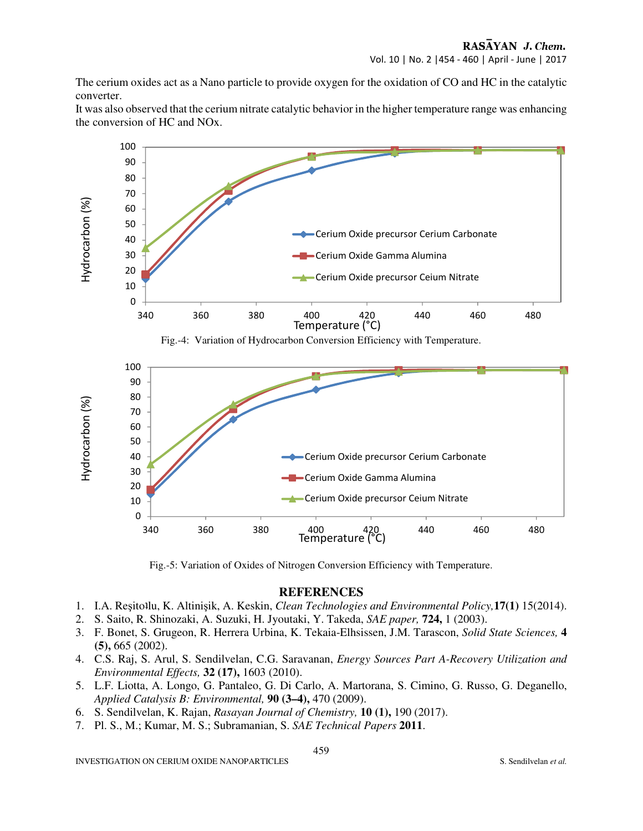The cerium oxides act as a Nano particle to provide oxygen for the oxidation of CO and HC in the catalytic converter.

It was also observed that the cerium nitrate catalytic behavior in the higher temperature range was enhancing the conversion of HC and NOx.



Fig.-5: Variation of Oxides of Nitrogen Conversion Efficiency with Temperature.

### **REFERENCES**

- 1. I.A. Reşitoʇlu, K. Altinişik, A. Keskin, *Clean Technologies and Environmental Policy,***17(1)** 15(2014).
- 2. S. Saito, R. Shinozaki, A. Suzuki, H. Jyoutaki, Y. Takeda, *SAE paper,* **724,** 1 (2003).
- 3. F. Bonet, S. Grugeon, R. Herrera Urbina, K. Tekaia-Elhsissen, J.M. Tarascon, *Solid State Sciences,* **4 (5),** 665 (2002).
- 4. C.S. Raj, S. Arul, S. Sendilvelan, C.G. Saravanan, *Energy Sources Part A-Recovery Utilization and Environmental Effects,* **32 (17),** 1603 (2010).
- 5. L.F. Liotta, A. Longo, G. Pantaleo, G. Di Carlo, A. Martorana, S. Cimino, G. Russo, G. Deganello, *Applied Catalysis B: Environmental,* **90 (3–4),** 470 (2009).
- 6. S. Sendilvelan, K. Rajan, *Rasayan Journal of Chemistry,* **10 (1),** 190 (2017).
- 7. Pl. S., M.; Kumar, M. S.; Subramanian, S. *SAE Technical Papers* **2011**.